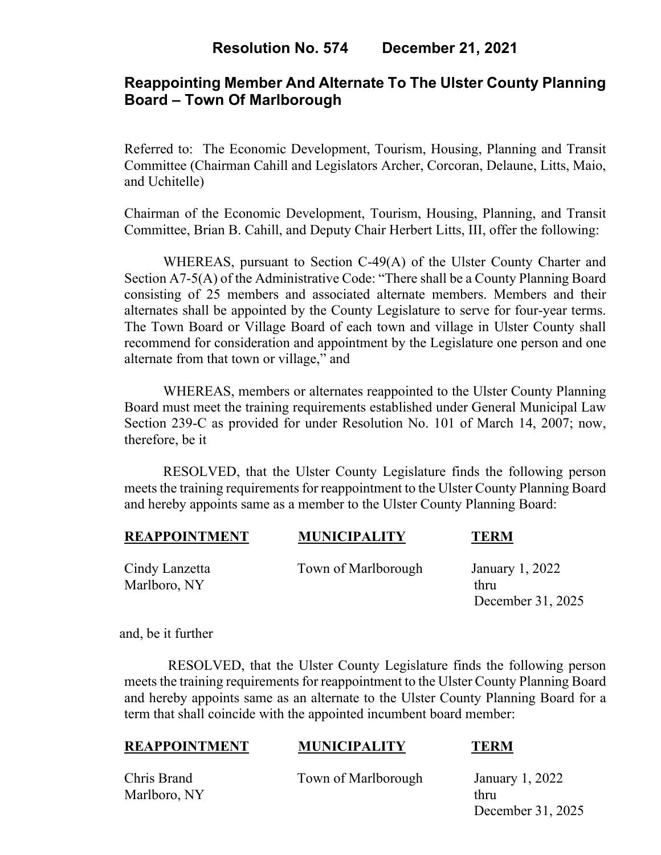# **Reappointing Member And Alternate To The Ulster County Planning Board – Town Of Marlborough**

Referred to: The Economic Development, Tourism, Housing, Planning and Transit Committee (Chairman Cahill and Legislators Archer, Corcoran, Delaune, Litts, Maio, and Uchitelle)

Chairman of the Economic Development, Tourism, Housing, Planning, and Transit Committee, Brian B. Cahill, and Deputy Chair Herbert Litts, III, offer the following:

WHEREAS, pursuant to Section C-49(A) of the Ulster County Charter and Section A7-5(A) of the Administrative Code: "There shall be a County Planning Board consisting of 25 members and associated alternate members. Members and their alternates shall be appointed by the County Legislature to serve for four-year terms. The Town Board or Village Board of each town and village in Ulster County shall recommend for consideration and appointment by the Legislature one person and one alternate from that town or village," and

WHEREAS, members or alternates reappointed to the Ulster County Planning Board must meet the training requirements established under General Municipal Law Section 239-C as provided for under Resolution No. 101 of March 14, 2007; now, therefore, be it

RESOLVED, that the Ulster County Legislature finds the following person meets the training requirements for reappointment to the Ulster County Planning Board and hereby appoints same as a member to the Ulster County Planning Board:

| <b>REAPPOINTMENT</b> | <b>MUNICIPALITY</b> | <b>TERM</b>     |
|----------------------|---------------------|-----------------|
| Cindy Lanzetta       | Town of Marlborough | January 1, 2022 |

Marlboro, NY thru

December 31, 2025

and, be it further

RESOLVED, that the Ulster County Legislature finds the following person meets the training requirements for reappointment to the Ulster County Planning Board and hereby appoints same as an alternate to the Ulster County Planning Board for a term that shall coincide with the appointed incumbent board member:

## **REAPPOINTMENT MUNICIPALITY TERM**

Marlboro, NY thru

Chris Brand Town of Marlborough January 1, 2022

December 31, 2025